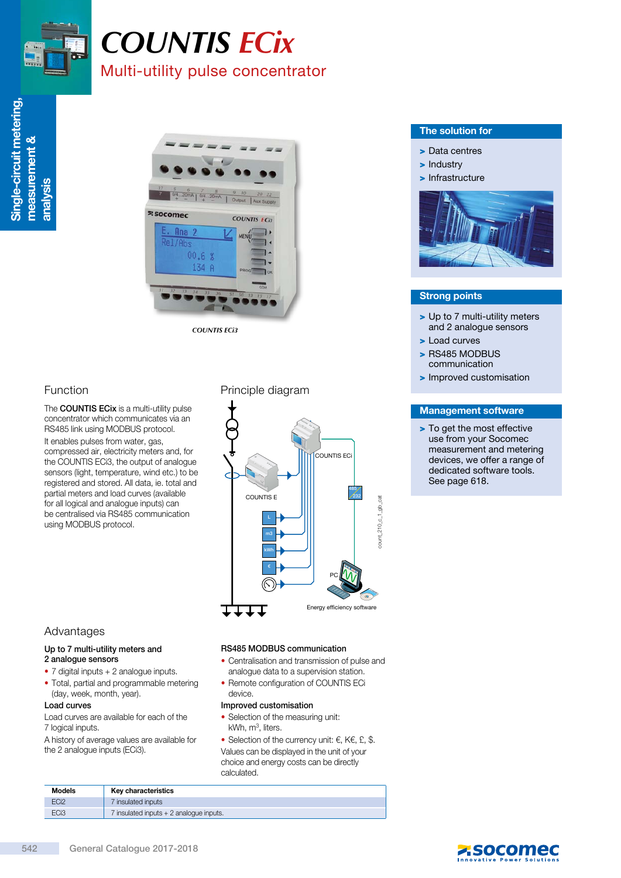

# *COUNTIS ECix* Multi-utility pulse concentrator



# Function

The **COUNTIS ECix** is a multi-utility pulse concentrator which communicates via an RS485 link using MODBUS protocol. It enables pulses from water, gas, compressed air, electricity meters and, for the COUNTIS ECi3, the output of analogue sensors (light, temperature, wind etc.) to be registered and stored. All data, ie. total and partial meters and load curves (available for all logical and analogue inputs) can be centralised via RS485 communication using MODBUS protocol.

# Principle diagram



## Advantages

#### Up to 7 multi-utility meters and 2 analogue sensors

- 7 digital inputs + 2 analogue inputs.
- Total, partial and programmable metering (day, week, month, year).

#### Load curves

Load curves are available for each of the 7 logical inputs.

A history of average values are available for the 2 analogue inputs (ECi3).

#### RS485 MODBUS communication

- Centralisation and transmission of pulse and analogue data to a supervision station.
- Remote configuration of COUNTIS ECi device.

#### Improved customisation

- Selection of the measuring unit:  $kWh$ ,  $m<sup>3</sup>$ , liters.
- Selection of the currency unit:  $\epsilon$ , K $\epsilon$ , £, \$. Values can be displayed in the unit of your choice and energy costs can be directly calculated.

| <b>Models</b>    | Key characteristics                     |
|------------------|-----------------------------------------|
| EC <sub>i2</sub> | 7 insulated inputs                      |
| EC <sub>i3</sub> | 7 insulated inputs + 2 analogue inputs. |

### The solution for

- > Data centres
- > Industry
- > Infrastructure



### Strong points

- > Up to 7 multi-utility meters and 2 analogue sensors
- > Load curves
- > RS485 MODBUS communication
- > Improved customisation

#### Management software

> To get the most effective use from your Socomec measurement and metering devices, we offer a range of dedicated software tools. See page 618.